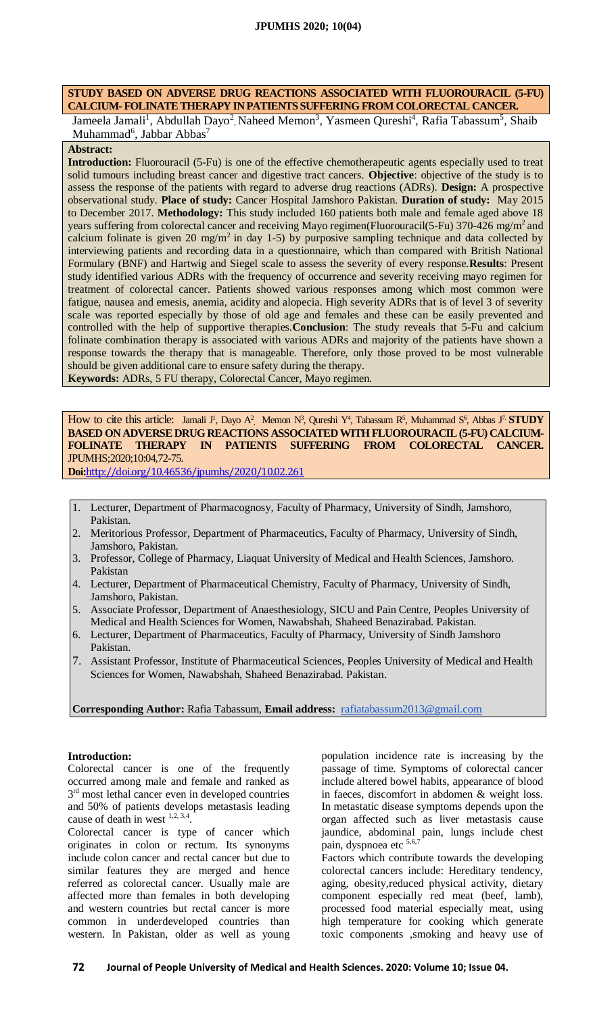# **STUDY BASED ON ADVERSE DRUG REACTIONS ASSOCIATED WITH FLUOROURACIL (5-FU) CALCIUM- FOLINATE THERAPY IN PATIENTS SUFFERING FROM COLORECTAL CANCER.**

Jameela Jamali<sup>1</sup>, Abdullah Dayo<sup>2</sup>, Naheed Memon<sup>3</sup>, Yasmeen Qureshi<sup>4</sup>, Rafia Tabassum<sup>5</sup>, Shaib  $Muhammad<sup>6</sup>$ , Jabbar Abbas<sup>7</sup>

# **Abstract:**

**Introduction:** Fluorouracil (5-Fu) is one of the effective chemotherapeutic agents especially used to treat solid tumours including breast cancer and digestive tract cancers. **Objective**: objective of the study is to assess the response of the patients with regard to adverse drug reactions (ADRs). **Design:** A prospective observational study. **Place of study:** Cancer Hospital Jamshoro Pakistan. **Duration of study:** May 2015 to December 2017. **Methodology:** This study included 160 patients both male and female aged above 18 years suffering from colorectal cancer and receiving Mayo regimen(Fluorouracil(5-Fu) 370-426 mg/m<sup>2</sup> and calcium folinate is given 20 mg/m<sup>2</sup> in day 1-5) by purposive sampling technique and data collected by interviewing patients and recording data in a questionnaire, which than compared with British National Formulary (BNF) and Hartwig and Siegel scale to assess the severity of every response.**Results**: Present study identified various ADRs with the frequency of occurrence and severity receiving mayo regimen for treatment of colorectal cancer. Patients showed various responses among which most common were fatigue, nausea and emesis, anemia, acidity and alopecia. High severity ADRs that is of level 3 of severity scale was reported especially by those of old age and females and these can be easily prevented and controlled with the help of supportive therapies.**Conclusion**: The study reveals that 5-Fu and calcium folinate combination therapy is associated with various ADRs and majority of the patients have shown a response towards the therapy that is manageable. Therefore, only those proved to be most vulnerable should be given additional care to ensure safety during the therapy.

**Keywords:** ADRs, 5 FU therapy, Colorectal Cancer, Mayo regimen.

How to cite this article: Jamali J<sup>1</sup>, Dayo A<sup>2</sup>, Memon N<sup>3</sup>, Qureshi Y<sup>4</sup>, Tabassum R<sup>5</sup>, Muhammad S<sup>6</sup>, Abbas J<sup>7</sup> STUDY **BASED ON ADVERSE DRUG REACTIONS ASSOCIATED WITH FLUOROURACIL (5-FU) CALCIUM-FOLINATE THERAPY IN PATIENTS SUFFERING FROM COLORECTAL CANCER.** JPUMHS;2020;10:04,72-75.

**Doi:**<http://doi.org/10.46536/jpumhs/2020/10.02.261>

- 1. Lecturer, Department of Pharmacognosy, Faculty of Pharmacy, University of Sindh, Jamshoro, Pakistan.
- 2. Meritorious Professor, Department of Pharmaceutics, Faculty of Pharmacy, University of Sindh, Jamshoro, Pakistan.
- 3. Professor, College of Pharmacy, Liaquat University of Medical and Health Sciences, Jamshoro. Pakistan
- 4. Lecturer, Department of Pharmaceutical Chemistry, Faculty of Pharmacy, University of Sindh, Jamshoro, Pakistan.
- 5. Associate Professor, Department of Anaesthesiology, SICU and Pain Centre, Peoples University of Medical and Health Sciences for Women, Nawabshah, Shaheed Benazirabad. Pakistan.
- 6. Lecturer, Department of Pharmaceutics, Faculty of Pharmacy, University of Sindh Jamshoro Pakistan.
- 7. Assistant Professor, Institute of Pharmaceutical Sciences, Peoples University of Medical and Health Sciences for Women, Nawabshah, Shaheed Benazirabad. Pakistan.

**Corresponding Author:** Rafia Tabassum, **Email address:** rafiatabassum2013@gmail.com

# **Introduction:**

Colorectal cancer is one of the frequently occurred among male and female and ranked as 3<sup>rd</sup> most lethal cancer even in developed countries and 50% of patients develops metastasis leading cause of death in west  $1,2,3,4$ .

Colorectal cancer is type of cancer which originates in colon or rectum. Its synonyms include colon cancer and rectal cancer but due to similar features they are merged and hence referred as colorectal cancer. Usually male are affected more than females in both developing and western countries but rectal cancer is more common in underdeveloped countries than western. In Pakistan, older as well as young

population incidence rate is increasing by the passage of time. Symptoms of colorectal cancer include altered bowel habits, appearance of blood in faeces, discomfort in abdomen & weight loss. In metastatic disease symptoms depends upon the organ affected such as liver metastasis cause jaundice, abdominal pain, lungs include chest pain, dyspnoea etc 5,6,7

Factors which contribute towards the developing colorectal cancers include: Hereditary tendency, aging, obesity,reduced physical activity, dietary component especially red meat (beef, lamb), processed food material especially meat, using high temperature for cooking which generate toxic components ,smoking and heavy use of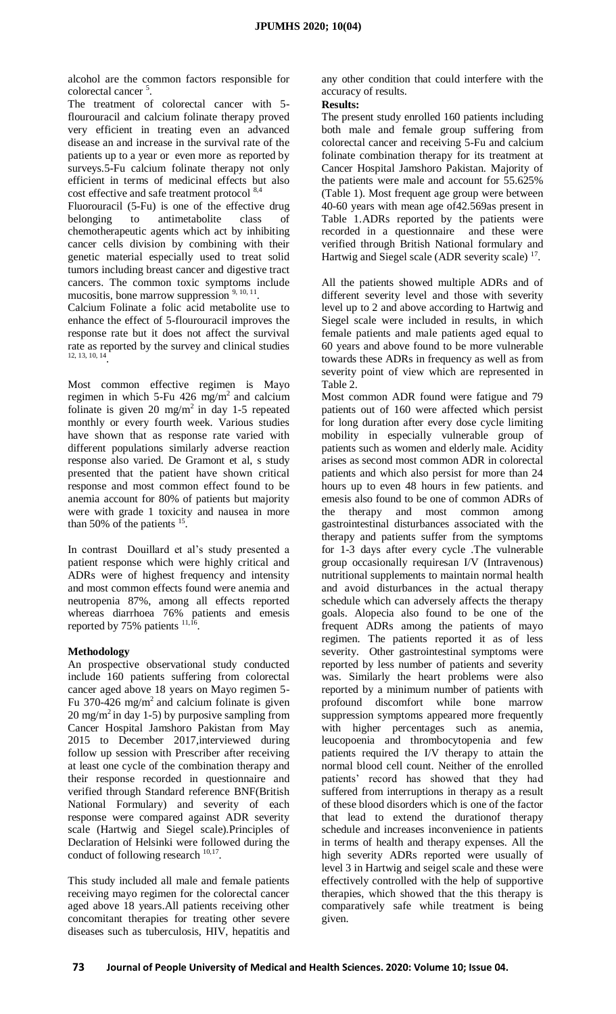alcohol are the common factors responsible for colorectal cancer <sup>5</sup> .

The treatment of colorectal cancer with 5 flourouracil and calcium folinate therapy proved very efficient in treating even an advanced disease an and increase in the survival rate of the patients up to a year or even more as reported by surveys.5-Fu calcium folinate therapy not only efficient in terms of medicinal effects but also cost effective and safe treatment protocol 8,4

Fluorouracil (5-Fu) is one of the effective drug belonging to antimetabolite class of chemotherapeutic agents which act by inhibiting cancer cells division by combining with their genetic material especially used to treat solid tumors including breast cancer and digestive tract cancers. The common toxic symptoms include mucositis, bone marrow suppression 9, 10, 11 .

Calcium Folinate a folic acid metabolite use to enhance the effect of 5-flourouracil improves the response rate but it does not affect the survival rate as reported by the survey and clinical studies 12, 13, 10, 14 .

Most common effective regimen is Mayo regimen in which 5-Fu 426  $mg/m<sup>2</sup>$  and calcium folinate is given 20 mg/m<sup>2</sup> in day 1-5 repeated monthly or every fourth week. Various studies have shown that as response rate varied with different populations similarly adverse reaction response also varied. De Gramont et al, s study presented that the patient have shown critical response and most common effect found to be anemia account for 80% of patients but majority were with grade 1 toxicity and nausea in more than 50% of the patients  $15$ .

In contrast Douillard et al's study presented a patient response which were highly critical and ADRs were of highest frequency and intensity and most common effects found were anemia and neutropenia 87%, among all effects reported whereas diarrhoea 76% patients and emesis reported by 75% patients  $\frac{11,16}{11,16}$ .

## **Methodology**

An prospective observational study conducted include 160 patients suffering from colorectal cancer aged above 18 years on Mayo regimen 5- Fu 370-426 mg/m<sup>2</sup> and calcium folinate is given  $20 \text{ mg/m}^2$  in day 1-5) by purposive sampling from Cancer Hospital Jamshoro Pakistan from May 2015 to December 2017,interviewed during follow up session with Prescriber after receiving at least one cycle of the combination therapy and their response recorded in questionnaire and verified through Standard reference BNF(British National Formulary) and severity of each response were compared against ADR severity scale (Hartwig and Siegel scale).Principles of Declaration of Helsinki were followed during the conduct of following research  $10,17$ .

This study included all male and female patients receiving mayo regimen for the colorectal cancer aged above 18 years.All patients receiving other concomitant therapies for treating other severe diseases such as tuberculosis, HIV, hepatitis and any other condition that could interfere with the accuracy of results.

## **Results:**

The present study enrolled 160 patients including both male and female group suffering from colorectal cancer and receiving 5-Fu and calcium folinate combination therapy for its treatment at Cancer Hospital Jamshoro Pakistan. Majority of the patients were male and account for 55.625% (Table 1). Most frequent age group were between 40-60 years with mean age of42.569as present in Table 1.ADRs reported by the patients were recorded in a questionnaire and these were verified through British National formulary and Hartwig and Siegel scale (ADR severity scale)  $17$ .

All the patients showed multiple ADRs and of different severity level and those with severity level up to 2 and above according to Hartwig and Siegel scale were included in results, in which female patients and male patients aged equal to 60 years and above found to be more vulnerable towards these ADRs in frequency as well as from severity point of view which are represented in Table 2.

Most common ADR found were fatigue and 79 patients out of 160 were affected which persist for long duration after every dose cycle limiting mobility in especially vulnerable group of patients such as women and elderly male. Acidity arises as second most common ADR in colorectal patients and which also persist for more than 24 hours up to even 48 hours in few patients. and emesis also found to be one of common ADRs of the therapy and most common among gastrointestinal disturbances associated with the therapy and patients suffer from the symptoms for 1-3 days after every cycle .The vulnerable group occasionally requiresan I/V (Intravenous) nutritional supplements to maintain normal health and avoid disturbances in the actual therapy schedule which can adversely affects the therapy goals. Alopecia also found to be one of the frequent ADRs among the patients of mayo regimen. The patients reported it as of less severity. Other gastrointestinal symptoms were reported by less number of patients and severity was. Similarly the heart problems were also reported by a minimum number of patients with profound discomfort while bone marrow suppression symptoms appeared more frequently with higher percentages such as anemia, leucopoenia and thrombocytopenia and few patients required the I/V therapy to attain the normal blood cell count. Neither of the enrolled patients' record has showed that they had suffered from interruptions in therapy as a result of these blood disorders which is one of the factor that lead to extend the durationof therapy schedule and increases inconvenience in patients in terms of health and therapy expenses. All the high severity ADRs reported were usually of level 3 in Hartwig and seigel scale and these were effectively controlled with the help of supportive therapies, which showed that the this therapy is comparatively safe while treatment is being given.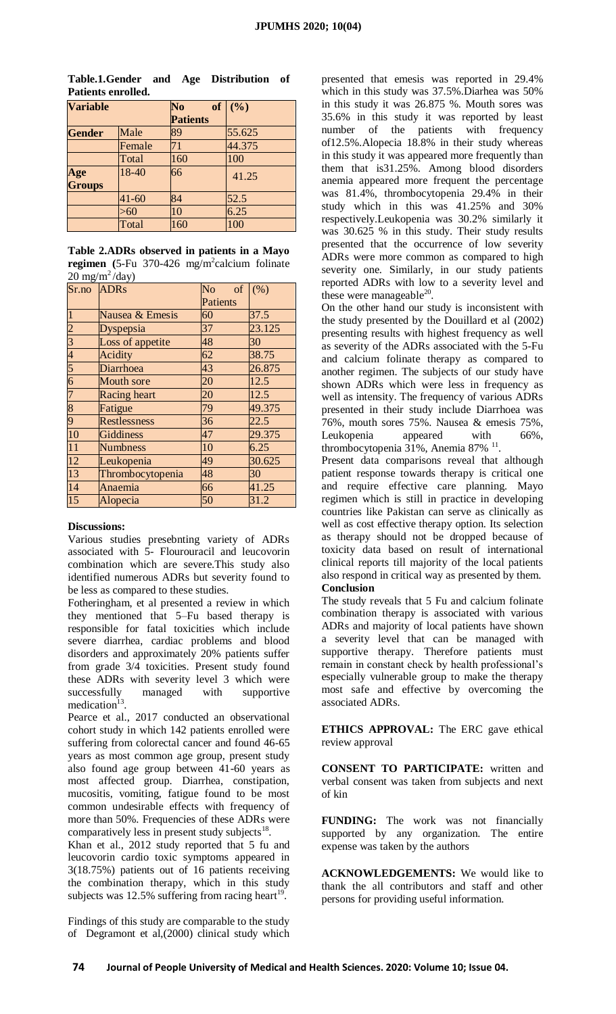| <b>Variable</b> |           | N <sub>0</sub>  | of $(\%)$ |
|-----------------|-----------|-----------------|-----------|
|                 |           | <b>Patients</b> |           |
| <b>Gender</b>   | Male      | 89              | 55.625    |
|                 | Female    | 71              | 44.375    |
|                 | Total     | 160             | 100       |
| Age             | 18-40     | 66              | 41.25     |
| <b>Groups</b>   |           |                 |           |
|                 | $41 - 60$ | 84              | 52.5      |
|                 | $> \! 60$ | 10              | 6.25      |
|                 | Total     | 160             | 100       |

| Table.1.Gender and Age Distribution of |  |  |
|----------------------------------------|--|--|
| Patients enrolled.                     |  |  |

|                                |  | Table 2.ADRs observed in patients in a Mayo                |  |
|--------------------------------|--|------------------------------------------------------------|--|
|                                |  | regimen (5-Fu $370-426$ mg/m <sup>2</sup> calcium folinate |  |
| $20 \text{ mg/m}^2/\text{day}$ |  |                                                            |  |

| Sr.no ADRs                  |                     | N <sub>o</sub><br>of | (% )   |
|-----------------------------|---------------------|----------------------|--------|
|                             |                     | <b>Patients</b>      |        |
| $\mathbf{1}$                | Nausea & Emesis     | 60                   | 37.5   |
| $\overline{2}$              | Dyspepsia           | 37                   | 23.125 |
| $\frac{3}{4}$ $\frac{4}{5}$ | Loss of appetite    | 48                   | 30     |
|                             | Acidity             | 62                   | 38.75  |
|                             | Diarrhoea           | 43                   | 26.875 |
| $\overline{6}$              | <b>Mouth sore</b>   | 20                   | 12.5   |
| $\overline{7}$              | <b>Racing</b> heart | 20                   | 12.5   |
| $\overline{8}$              | Fatigue             | 79                   | 49.375 |
| $\overline{9}$              | <b>Restlessness</b> | 36                   | 22.5   |
| 10                          | <b>Giddiness</b>    | 47                   | 29.375 |
| $\overline{11}$             | <b>Numbness</b>     | 10                   | 6.25   |
| $\overline{12}$             | Leukopenia          | 49                   | 30.625 |
| $\overline{13}$             | Thrombocytopenia    | 48                   | 30     |
| 14                          | Anaemia             | 66                   | 41.25  |
| $\overline{15}$             | Alopecia            | 50                   | 31.2   |

## **Discussions:**

Various studies presebnting variety of ADRs associated with 5- Flourouracil and leucovorin combination which are severe.This study also identified numerous ADRs but severity found to be less as compared to these studies.

Fotheringham, et al presented a review in which they mentioned that 5–Fu based therapy is responsible for fatal toxicities which include severe diarrhea, cardiac problems and blood disorders and approximately 20% patients suffer from grade 3/4 toxicities. Present study found these ADRs with severity level 3 which were successfully managed with supportive medication<sup>13</sup>.

Pearce et al., 2017 conducted an observational cohort study in which 142 patients enrolled were suffering from colorectal cancer and found 46-65 years as most common age group, present study also found age group between 41-60 years as most affected group. Diarrhea, constipation, mucositis, vomiting, fatigue found to be most common undesirable effects with frequency of more than 50%. Frequencies of these ADRs were comparatively less in present study subjects $^{18}$ .

Khan et al., 2012 study reported that 5 fu and leucovorin cardio toxic symptoms appeared in 3(18.75%) patients out of 16 patients receiving the combination therapy, which in this study subjects was 12.5% suffering from racing heart<sup>19</sup>.

Findings of this study are comparable to the study of Degramont et al,(2000) clinical study which presented that emesis was reported in 29.4% which in this study was 37.5%.Diarhea was 50% in this study it was 26.875 %. Mouth sores was 35.6% in this study it was reported by least number of the patients with frequency of12.5%.Alopecia 18.8% in their study whereas in this study it was appeared more frequently than them that is31.25%. Among blood disorders anemia appeared more frequent the percentage was 81.4%, thrombocytopenia 29.4% in their study which in this was 41.25% and 30% respectively.Leukopenia was 30.2% similarly it was 30.625 % in this study. Their study results presented that the occurrence of low severity ADRs were more common as compared to high severity one. Similarly, in our study patients reported ADRs with low to a severity level and these were manageable $^{20}$ .

On the other hand our study is inconsistent with the study presented by the Douillard et al (2002) presenting results with highest frequency as well as severity of the ADRs associated with the 5-Fu and calcium folinate therapy as compared to another regimen. The subjects of our study have shown ADRs which were less in frequency as well as intensity. The frequency of various ADRs presented in their study include Diarrhoea was 76%, mouth sores 75%. Nausea & emesis 75%, Leukopenia appeared with 66%, thrombocytopenia 31%, Anemia 87%<sup>11</sup>.

Present data comparisons reveal that although patient response towards therapy is critical one and require effective care planning. Mayo regimen which is still in practice in developing countries like Pakistan can serve as clinically as well as cost effective therapy option. Its selection as therapy should not be dropped because of toxicity data based on result of international clinical reports till majority of the local patients also respond in critical way as presented by them. **Conclusion**

## The study reveals that 5 Fu and calcium folinate combination therapy is associated with various ADRs and majority of local patients have shown a severity level that can be managed with supportive therapy. Therefore patients must remain in constant check by health professional's especially vulnerable group to make the therapy most safe and effective by overcoming the associated ADRs.

**ETHICS APPROVAL:** The ERC gave ethical review approval

**CONSENT TO PARTICIPATE:** written and verbal consent was taken from subjects and next of kin

**FUNDING:** The work was not financially supported by any organization. The entire expense was taken by the authors

**ACKNOWLEDGEMENTS:** We would like to thank the all contributors and staff and other persons for providing useful information.